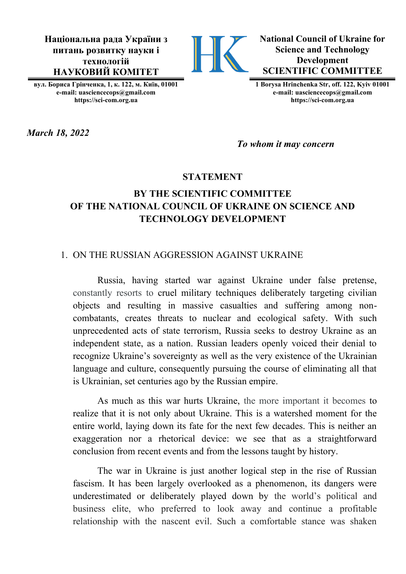**Національна рада України з питань розвитку науки і технологій НАУКОВИЙ КОМІТЕТ**



**National Council of Ukraine for Science and Technology Development SCIENTIFIC COMMITTEE**

**вул. Бориса Грінченка, 1, к. 122, м. Київ, 01001 e-mail: uasciencecops@gmail.com https://sci-com.org.ua**

**1 Borysa Hrinchenka Str, off. 122, Kyiv 01001 e-mail: [uasciencecops@gmail.com](mailto:uasciencecops@gmail.com) https://sci-com.org.ua**

*March 18, 2022*

*To whom it may concern*

#### **STATEMENT**

# **BY THE SCIENTIFIC COMMITTEE OF THE NATIONAL COUNCIL OF UKRAINE ON SCIENCE AND TECHNOLOGY DEVELOPMENT**

#### 1. ON THE RUSSIAN AGGRESSION AGAINST UKRAINE

Russia, having started war against Ukraine under false pretense, constantly resorts to cruel military techniques deliberately targeting civilian objects and resulting in massive casualties and suffering among noncombatants, creates threats to nuclear and ecological safety. With such unprecedented acts of state terrorism, Russia seeks to destroy Ukraine as an independent state, as a nation. Russian leaders openly voiced their denial to recognize Ukraine's sovereignty as well as the very existence of the Ukrainian language and culture, consequently pursuing the course of eliminating all that is Ukrainian, set centuries ago by the Russian empire.

As much as this war hurts Ukraine, the more important it becomes to realize that it is not only about Ukraine. This is a watershed moment for the entire world, laying down its fate for the next few decades. This is neither an exaggeration nor a rhetorical device: we see that as a straightforward conclusion from recent events and from the lessons taught by history.

The war in Ukraine is just another logical step in the rise of Russian fascism. It has been largely overlooked as a phenomenon, its dangers were underestimated or deliberately played down by the world's political and business elite, who preferred to look away and continue a profitable relationship with the nascent evil. Such a comfortable stance was shaken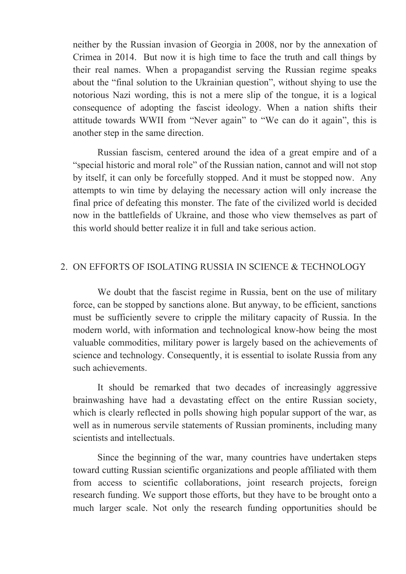neither by the Russian invasion of Georgia in 2008, nor by the annexation of Crimea in 2014. But now it is high time to face the truth and call things by their real names. When a propagandist serving the Russian regime speaks about the "final solution to the Ukrainian question", without shying to use the notorious Nazi wording, this is not a mere slip of the tongue, it is a logical consequence of adopting the fascist ideology. When a nation shifts their attitude towards WWII from "Never again" to "We can do it again", this is another step in the same direction.

Russian fascism, centered around the idea of a great empire and of a "special historic and moral role" of the Russian nation, cannot and will not stop by itself, it can only be forcefully stopped. And it must be stopped now. Any attempts to win time by delaying the necessary action will only increase the final price of defeating this monster. The fate of the civilized world is decided now in the battlefields of Ukraine, and those who view themselves as part of this world should better realize it in full and take serious action.

## 2. ON EFFORTS OF ISOLATING RUSSIA IN SCIENCE & TECHNOLOGY

We doubt that the fascist regime in Russia, bent on the use of military force, can be stopped by sanctions alone. But anyway, to be efficient, sanctions must be sufficiently severe to cripple the military capacity of Russia. In the modern world, with information and technological know-how being the most valuable commodities, military power is largely based on the achievements of science and technology. Consequently, it is essential to isolate Russia from any such achievements.

It should be remarked that two decades of increasingly aggressive brainwashing have had a devastating effect on the entire Russian society, which is clearly reflected in polls showing high popular support of the war, as well as in numerous servile statements of Russian prominents, including many scientists and intellectuals.

Since the beginning of the war, many countries have undertaken steps toward cutting Russian scientific organizations and people affiliated with them from access to scientific collaborations, joint research projects, foreign research funding. We support those efforts, but they have to be brought onto a much larger scale. Not only the research funding opportunities should be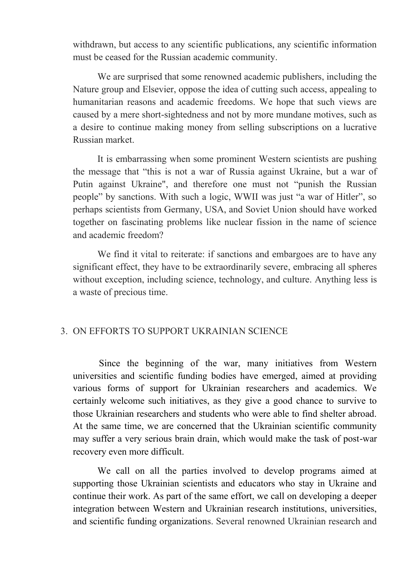withdrawn, but access to any scientific publications, any scientific information must be ceased for the Russian academic community.

We are surprised that some renowned academic publishers, including the Nature group and Elsevier, oppose the idea of cutting such access, appealing to humanitarian reasons and academic freedoms. We hope that such views are caused by a mere short-sightedness and not by more mundane motives, such as a desire to continue making money from selling subscriptions on a lucrative Russian market.

It is embarrassing when some prominent Western scientists are pushing the message that "this is not a war of Russia against Ukraine, but a war of Putin against Ukraine", and therefore one must not "punish the Russian people" by sanctions. With such a logic, WWII was just "a war of Hitler", so perhaps scientists from Germany, USA, and Soviet Union should have worked together on fascinating problems like nuclear fission in the name of science and academic freedom?

We find it vital to reiterate: if sanctions and embargoes are to have any significant effect, they have to be extraordinarily severe, embracing all spheres without exception, including science, technology, and culture. Anything less is a waste of precious time.

### 3. ON EFFORTS TO SUPPORT UKRAINIAN SCIENCE

Since the beginning of the war, many initiatives from Western universities and scientific funding bodies have emerged, aimed at providing various forms of support for Ukrainian researchers and academics. We certainly welcome such initiatives, as they give a good chance to survive to those Ukrainian researchers and students who were able to find shelter abroad. At the same time, we are concerned that the Ukrainian scientific community may suffer a very serious brain drain, which would make the task of post-war recovery even more difficult.

We call on all the parties involved to develop programs aimed at supporting those Ukrainian scientists and educators who stay in Ukraine and continue their work. As part of the same effort, we call on developing a deeper integration between Western and Ukrainian research institutions, universities, and scientific funding organizations. Several renowned Ukrainian research and